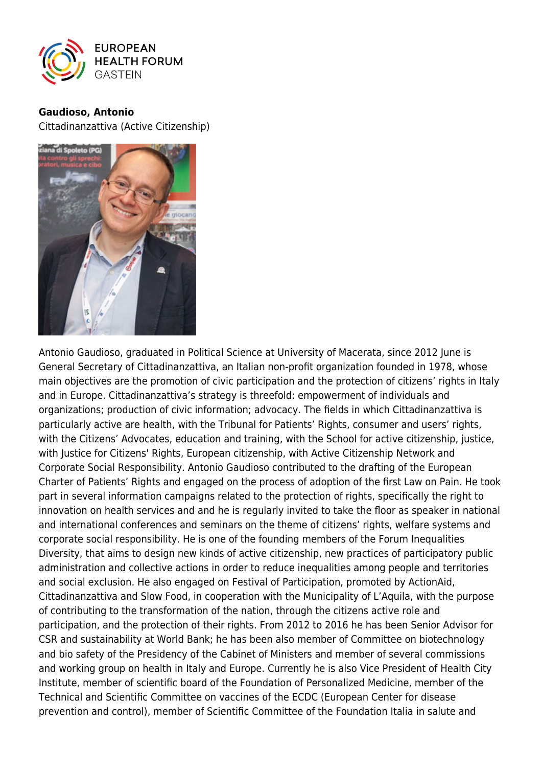

## **Gaudioso, Antonio**

Cittadinanzattiva (Active Citizenship)



Antonio Gaudioso, graduated in Political Science at University of Macerata, since 2012 June is General Secretary of Cittadinanzattiva, an Italian non-profit organization founded in 1978, whose main objectives are the promotion of civic participation and the protection of citizens' rights in Italy and in Europe. Cittadinanzattiva's strategy is threefold: empowerment of individuals and organizations; production of civic information; advocacy. The fields in which Cittadinanzattiva is particularly active are health, with the Tribunal for Patients' Rights, consumer and users' rights, with the Citizens' Advocates, education and training, with the School for active citizenship, justice, with Justice for Citizens' Rights, European citizenship, with Active Citizenship Network and Corporate Social Responsibility. Antonio Gaudioso contributed to the drafting of the European Charter of Patients' Rights and engaged on the process of adoption of the first Law on Pain. He took part in several information campaigns related to the protection of rights, specifically the right to innovation on health services and and he is regularly invited to take the floor as speaker in national and international conferences and seminars on the theme of citizens' rights, welfare systems and corporate social responsibility. He is one of the founding members of the Forum Inequalities Diversity, that aims to design new kinds of active citizenship, new practices of participatory public administration and collective actions in order to reduce inequalities among people and territories and social exclusion. He also engaged on Festival of Participation, promoted by ActionAid, Cittadinanzattiva and Slow Food, in cooperation with the Municipality of L'Aquila, with the purpose of contributing to the transformation of the nation, through the citizens active role and participation, and the protection of their rights. From 2012 to 2016 he has been Senior Advisor for CSR and sustainability at World Bank; he has been also member of Committee on biotechnology and bio safety of the Presidency of the Cabinet of Ministers and member of several commissions and working group on health in Italy and Europe. Currently he is also Vice President of Health City Institute, member of scientific board of the Foundation of Personalized Medicine, member of the Technical and Scientific Committee on vaccines of the ECDC (European Center for disease prevention and control), member of Scientific Committee of the Foundation Italia in salute and